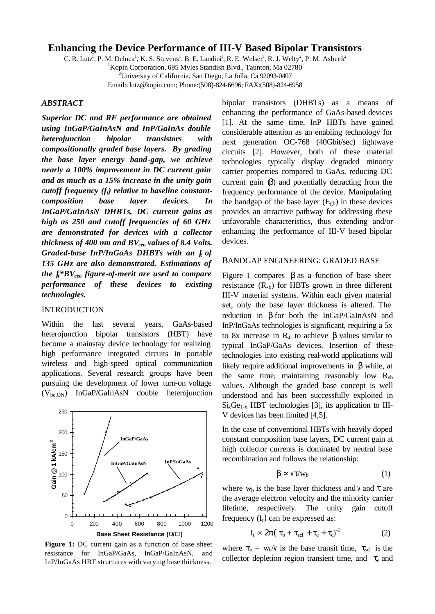# **Enhancing the Device Performance of III-V Based Bipolar Transistors**

C. R. Lutz<sup>1</sup>, P. M. Deluca<sup>1</sup>, K. S. Stevens<sup>1</sup>, B. E. Landini<sup>1</sup>, R. E. Welser<sup>1</sup>, R. J. Welty<sup>2</sup>, P. M. Asbeck<sup>2</sup> <sup>1</sup>Kopin Corporation, 695 Myles Standish Blvd., Taunton, Ma 02780 <sup>2</sup>University of California, San Diego, La Jolla, Ca 92093-0407 Email:clutz@kopin.com; Phone:(508)-824-6696; FAX:(508)-824-6958

### *ABSTRACT*

*Superior DC and RF performance are obtained using InGaP/GaInAsN and InP/GaInAs double heterojunction bipolar transistors with compositionally graded base layers. By grading the base layer energy band-gap, we achieve nearly a 100% improvement in DC current gain and as much as a 15% increase in the unity gain cutoff frequency (ft) relative to baseline constantcomposition base layer devices. In InGaP/GaInAsN DHBTs, DC current gains as high as 250 and cutoff frequencies of 60 GHz are demonstrated for devices with a collector thickness of 400 nm and BVceo values of 8.4 Volts. Graded-base InP/InGaAs DHBTs with an f<sup>t</sup> of 135 GHz are also demonstrated. Estimations of the ft\*BVceo figure-of-merit are used to compare performance of these devices to existing technologies.*

## INTRODUCTION

Within the last several years, GaAs-based heterojunction bipolar transistors (HBT) have become a mainstay device technology for realizing high performance integrated circuits in portable wireless and high-speed optical communication applications. Several research groups have been pursuing the development of lower turn-on voltage (Vbe,ON) InGaP/GaInAsN double heterojunction



Figure 1: DC current gain as a function of base sheet resistance for InGaP/GaAs, InGaP/GaInAsN, and InP/InGaAs HBT structures with varying base thickness.

bipolar transistors (DHBTs) as a means of enhancing the performance of GaAs-based devices [1]. At the same time, InP HBTs have gained considerable attention as an enabling technology for next generation OC-768 (40Gbit/sec) lightwave circuits [2]. However, both of these material technologies typically display degraded minority carrier properties compared to GaAs, reducing DC current gain (β) and potentially detracting from the frequency performance of the device. Manipulating the bandgap of the base layer  $(E_{\text{gh}})$  in these devices provides an attractive pathway for addressing these unfavorable characteristics, thus extending and/or enhancing the performance of III-V based bipolar devices.

### BANDGAP ENGINEERING: GRADED BASE

Figure 1 compares β as a function of base sheet resistance  $(R_{sb})$  for HBTs grown in three different III-V material systems. Within each given material set, only the base layer thickness is altered. The reduction in β for both the InGaP/GaInAsN and InP/InGaAs technologies is significant, requiring a 5x to 8x increase in R<sub>sb</sub> to achieve β values similar to typical InGaP/GaAs devices. Insertion of these technologies into existing real-world applications will likely require additional improvements in β while, at the same time, maintaining reasonably low  $R_{sb}$ values. Although the graded base concept is well understood and has been successfully exploited in  $Si<sub>x</sub>Ge<sub>1-x</sub> HBT$  technologies [3], its application to III-V devices has been limited [4,5].

In the case of conventional HBTs with heavily doped constant composition base layers, DC current gain at high collector currents is dominated by neutral base recombination and follows the relationship:

$$
\beta \propto \nu \tau / w_b \tag{1}
$$

where  $w_b$  is the base layer thickness and  $v$  and  $\tau$  are the average electron velocity and the minority carrier lifetime, respectively. The unity gain cutoff frequency  $(f_t)$  can be expressed as:

$$
f_t \propto 2\pi (\tau_b + \tau_{\rm scl} + \tau_e + \tau_c)^{-1} \tag{2}
$$

where  $\tau_b = w_b/v$  is the base transit time,  $\tau_{\text{sel}}$  is the collector depletion region transient time, and  $\tau_e$  and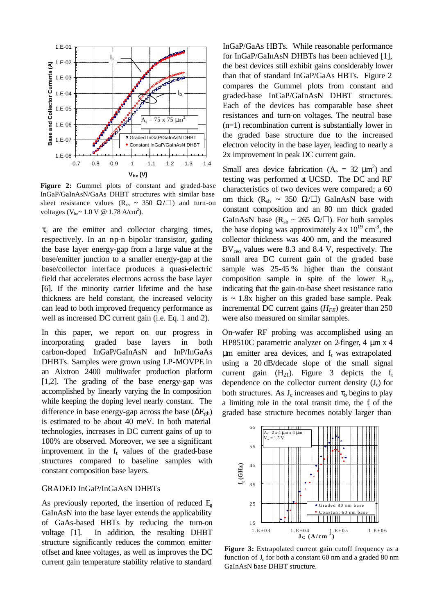

**Figure 2:** Gummel plots of constant and graded-base InGaP/GaInAsN/GaAs DHBT structures with similar base sheet resistance values  $(R_{sb} \sim 350 \text{ W}/\square)$  and turn-on voltages ( $V_{be}$ ~ 1.0 V @ 1.78 A/cm<sup>2</sup>).

 $\tau_c$  are the emitter and collector charging times, respectively. In an np-n bipolar transistor, gading the base layer energy-gap from a large value at the base/emitter junction to a smaller energy-gap at the base/collector interface produces a quasi-electric field that accelerates electrons across the base layer [6]. If the minority carrier lifetime and the base thickness are held constant, the increased velocity can lead to both improved frequency performance as well as increased DC current gain (i.e. Eq. 1 and 2).

In this paper, we report on our progress in incorporating graded base layers in both carbon-doped InGaP/GaInAsN and InP/InGaAs DHBTs. Samples were grown using LP-MOVPE in an Aixtron 2400 multiwafer production platform [1,2]. The grading of the base energy-gap was accomplished by linearly varying the In composition while keeping the doping level nearly constant. The difference in base energy-gap across the base  $(\Delta E_{\text{gb}})$ is estimated to be about 40 meV. In both material technologies, increases in DC current gains of up to 100% are observed. Moreover, we see a significant improvement in the  $f_t$  values of the graded-base structures compared to baseline samples with constant composition base layers.

#### GRADED InGaP/InGaAsN DHBTs

As previously reported, the insertion of reduced  $E<sub>r</sub>$ GaInAsN into the base layer extends the applicability of GaAs-based HBTs by reducing the turn-on voltage [1]. In addition, the resulting DHBT structure significantly reduces the common emitter offset and knee voltages, as well as improves the DC current gain temperature stability relative to standard

InGaP/GaAs HBTs. While reasonable performance for InGaP/GaInAsN DHBTs has been achieved [1], the best devices still exhibit gains considerably lower than that of standard InGaP/GaAs HBTs. Figure 2 compares the Gummel plots from constant and graded-base InGaP/GaInAsN DHBT structures. Each of the devices has comparable base sheet resistances and turn-on voltages. The neutral base (n=1) recombination current is substantially lower in the graded base structure due to the increased electron velocity in the base layer, leading to nearly a 2x improvement in peak DC current gain.

Small area device fabrication ( $A_e = 32 \mu m^2$ ) and testing was performed at UCSD. The DC and RF characteristics of two devices were compared; a 60 nm thick (R<sub>sb</sub> ~ 350  $\Omega/\square$ ) GaInAsN base with constant composition and an 80 nm thick graded GaInAsN base ( $R_{sb} \sim 265 \Omega / \square$ ). For both samples the base doping was approximately  $4 \times 10^{19}$  cm<sup>-3</sup>, the collector thickness was 400 nm, and the measured  $BV_{ceo}$  values were 8.3 and 8.4 V, respectively. The small area DC current gain of the graded base sample was 25-45 % higher than the constant composition sample in spite of the lower  $R_{sb}$ , indicating that the gain-to-base sheet resistance ratio is  $\sim$  1.8x higher on this graded base sample. Peak incremental DC current gains  $(H_{FE})$  greater than 250 were also measured on similar samples.

On-wafer RF probing was accomplished using an HP8510C parametric analyzer on 2-finger, 4 μm x 4  $\mu$ m emitter area devices, and  $f_t$  was extrapolated using a 20 dB/decade slope of the small signal current gain  $(H_{21})$ . Figure 3 depicts the  $f_t$ dependence on the collector current density  $(J_c)$  for both structures. As  $J_c$  increases and  $\tau_b$  begins to play a limiting role in the total transit time, the  $f_i$  of the graded base structure becomes notably larger than



Figure 3: Extrapolated current gain cutoff frequency as a function of J<sub>c</sub> for both a constant 60 nm and a graded 80 nm GaInAsN base DHBT structure.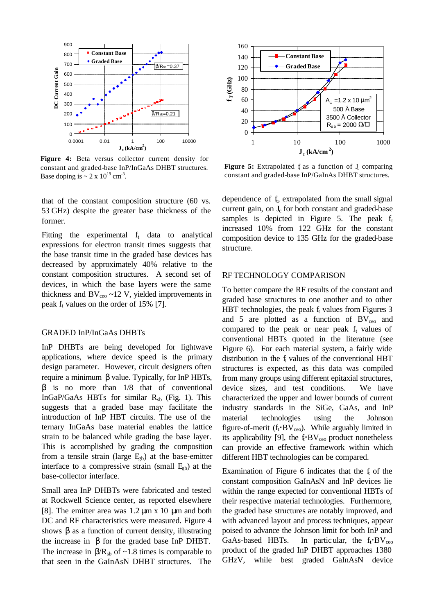

**Figure 4:** Beta versus collector current density for constant and graded-base InP/InGaAs DHBT structures. Base doping is  $\sim 2 \times 10^{19}$  cm<sup>-3</sup>.

that of the constant composition structure (60 vs. 53 GHz) despite the greater base thickness of the former.

Fitting the experimental  $f_t$  data to analytical expressions for electron transit times suggests that the base transit time in the graded base devices has decreased by approximately 40% relative to the constant composition structures. A second set of devices, in which the base layers were the same thickness and  $BV_{ceo} \sim 12$  V, yielded improvements in peak  $f_t$  values on the order of 15% [7].

### GRADED InP/InGaAs DHBTs

InP DHBTs are being developed for lightwave applications, where device speed is the primary design parameter. However, circuit designers often require a minimum β value. Typically, for InP HBTs, β is no more than 1/8 that of conventional InGaP/GaAs HBTs for similar  $R_{sb}$  (Fig. 1). This suggests that a graded base may facilitate the introduction of InP HBT circuits. The use of the ternary InGaAs base material enables the lattice strain to be balanced while grading the base layer. This is accomplished by grading the composition from a tensile strain (large  $E_{gb}$ ) at the base-emitter interface to a compressive strain (small  $E<sub>gb</sub>$ ) at the base-collector interface.

Small area InP DHBTs were fabricated and tested at Rockwell Science center, as reported elsewhere [8]. The emitter area was  $1.2 \mu m \times 10 \mu m$  and both DC and RF characteristics were measured. Figure 4 shows β as a function of current density, illustrating the increase in  $β$  for the graded base InP DHBT. The increase in  $\beta/R_{sb}$  of ~1.8 times is comparable to that seen in the GaInAsN DHBT structures. The



Figure 5: Extrapolated f as a function of J<sub>c</sub> comparing constant and graded-base InP/GaInAs DHBT structures.

dependence of  $f_t$ , extrapolated from the small signal current gain, on  $J_c$  for both constant and graded-base samples is depicted in Figure 5. The peak  $f_t$ increased 10% from 122 GHz for the constant composition device to 135 GHz for the graded-base structure.

#### RF TECHNOLOGY COMPARISON

To better compare the RF results of the constant and graded base structures to one another and to other HBT technologies, the peak  $f_t$  values from Figures 3 and 5 are plotted as a function of  $BV_{ceo}$  and compared to the peak or near peak  $f_t$  values of conventional HBTs quoted in the literature (see Figure 6). For each material system, a fairly wide distribution in the f<sub>t</sub> values of the conventional HBT structures is expected, as this data was compiled from many groups using different epitaxial structures, device sizes, and test conditions. We have characterized the upper and lower bounds of current industry standards in the SiGe, GaAs, and InP material technologies using the Johnson figure-of-merit ( $f_t$ +BV<sub>ceo</sub>). While arguably limited in its applicability [9], the  $f_t$ ·BV<sub>ceo</sub> product nonetheless can provide an effective framework within which different HBT technologies can be compared.

Examination of Figure  $6$  indicates that the  $f<sub>i</sub>$  of the constant composition GaInAsN and InP devices lie within the range expected for conventional HBTs of their respective material technologies. Furthermore, the graded base structures are notably improved, and with advanced layout and process techniques, appear poised to advance the Johnson limit for both InP and GaAs-based HBTs. In particular, the  $f_t$ ·BV<sub>ceo</sub> product of the graded InP DHBT approaches 1380 GHzV, while best graded GaInAsN device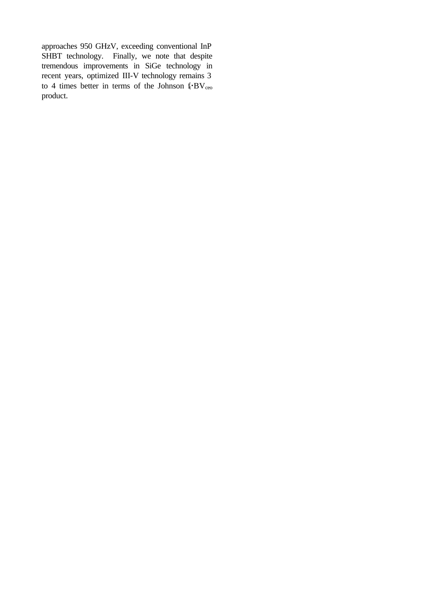approaches 950 GHzV, exceeding conventional InP SHBT technology. Finally, we note that despite tremendous improvements in SiGe technology in recent years, optimized III-V technology remains 3 to 4 times better in terms of the Johnson  $f_t$ ·BV<sub>ceo</sub> product.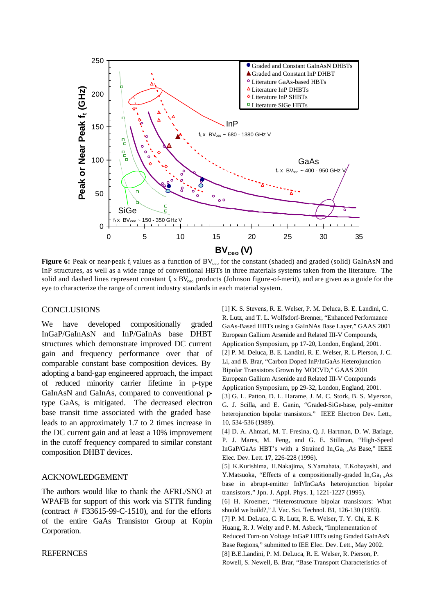

Figure 6: Peak or near-peak f<sub>t</sub> values as a function of BV<sub>ceo</sub> for the constant (shaded) and graded (solid) GaInAsN and InP structures, as well as a wide range of conventional HBTs in three materials systems taken from the literature. The solid and dashed lines represent constant  $f_t$  x  $BV_{ceo}$  products (Johnson figure-of-merit), and are given as a guide for the eye to characterize the range of current industry standards in each material system.

#### CONCLUSIONS

We have developed compositionally graded InGaP/GaInAsN and InP/GaInAs base DHBT structures which demonstrate improved DC current gain and frequency performance over that of comparable constant base composition devices. By adopting a band-gap engineered approach, the impact of reduced minority carrier lifetime in p-type GaInAsN and GaInAs, compared to conventional ptype GaAs, is mitigated. The decreased electron base transit time associated with the graded base leads to an approximately 1.7 to 2 times increase in the DC current gain and at least a 10% improvement in the cutoff frequency compared to similar constant composition DHBT devices.

#### ACKNOWLEDGEMENT

The authors would like to thank the AFRL/SNO at WPAFB for support of this work via STTR funding (contract  $\#$  F33615-99-C-1510), and for the efforts of the entire GaAs Transistor Group at Kopin Corporation.

#### **REFERNCES**

[1] K. S. Stevens, R. E. Welser, P. M. Deluca, B. E. Landini, C. R. Lutz, and T. L. Wolfsdorf-Brenner, "Enhanced Performance GaAs-Based HBTs using a GaInNAs Base Layer," GAAS 2001 European Gallium Arsenide and Related III-V Compounds, Application Symposium, pp 17-20, London, England, 2001. [2] P. M. Deluca, B. E. Landini, R. E. Welser, R. L Pierson, J. C. Li, and B. Brar, "Carbon Doped InP/InGaAs Heterojunction Bipolar Transistors Grown by MOCVD," GAAS 2001 European Gallium Arsenide and Related III-V Compounds Application Symposium, pp 29-32, London, England, 2001. [3] G. L. Patton, D. L. Harame, J. M. C. Stork, B. S. Myerson, G. J. Scilla, and E. Ganin, "Graded-SiGe-base, poly-emitter heterojunction bipolar transistors." IEEE Electron Dev. Lett., 10, 534-536 (1989).

[4] D. A. Ahmari, M. T. Fresina, Q. J. Hartman, D. W. Barlage, P. J. Mares, M. Feng, and G. E. Stillman, "High-Speed InGaP/GaAs HBT's with a Strained  $In_xGa_{1-x}As$  Base," IEEE Elec. Dev. Lett. **17**, 226-228 (1996).

[5] K.Kurishima, H.Nakajima, S.Yamahata, T.Kobayashi, and Y.Matsuoka, "Effects of a compositionally-graded  $In_xGa_{1-x}As$ base in abrupt-emitter InP/InGaAs heterojunction bipolar transistors," Jpn. J. Appl. Phys. **1**, 1221-1227 (1995). [6] H. Kroemer, "Heterostructure bipolar transistors: What should we build?," J. Vac. Sci. Technol. B1, 126-130 (1983). [7] P. M. DeLuca, C. R. Lutz, R. E. Welser, T. Y. Chi, E. K Huang, R. J. Welty and P. M. Asbeck, "Implementation of Reduced Turn-on Voltage InGaP HBTs using Graded GaInAsN Base Regions," submitted to IEE Elec. Dev. Lett., May 2002. [8] B.E.Landini, P. M. DeLuca, R. E. Welser, R. Pierson, P. Rowell, S. Newell, B. Brar, "Base Transport Characteristics of